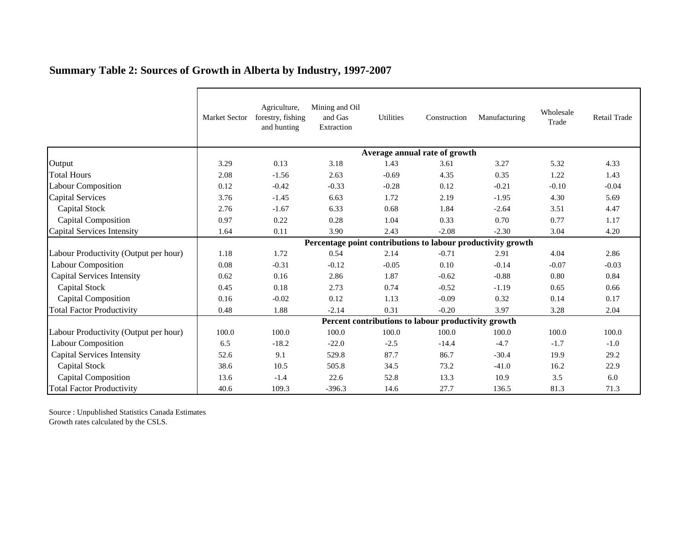|                                       | Market Sector                                                | Agriculture,<br>forestry, fishing<br>and hunting | Mining and Oil<br>and Gas<br>Extraction | Utilities | Construction | Manufacturing | Wholesale<br>Trade | Retail Trade |  |  |  |
|---------------------------------------|--------------------------------------------------------------|--------------------------------------------------|-----------------------------------------|-----------|--------------|---------------|--------------------|--------------|--|--|--|
|                                       | Average annual rate of growth                                |                                                  |                                         |           |              |               |                    |              |  |  |  |
| Output                                | 3.29                                                         | 0.13                                             | 3.18                                    | 1.43      | 3.61         | 3.27          | 5.32               | 4.33         |  |  |  |
| <b>Total Hours</b>                    | 2.08                                                         | $-1.56$                                          | 2.63                                    | $-0.69$   | 4.35         | 0.35          | 1.22               | 1.43         |  |  |  |
| <b>Labour Composition</b>             | 0.12                                                         | $-0.42$                                          | $-0.33$                                 | $-0.28$   | 0.12         | $-0.21$       | $-0.10$            | $-0.04$      |  |  |  |
| Capital Services                      | 3.76                                                         | $-1.45$                                          | 6.63                                    | 1.72      | 2.19         | $-1.95$       | 4.30               | 5.69         |  |  |  |
| Capital Stock                         | 2.76                                                         | $-1.67$                                          | 6.33                                    | 0.68      | 1.84         | $-2.64$       | 3.51               | 4.47         |  |  |  |
| <b>Capital Composition</b>            | 0.97                                                         | 0.22                                             | 0.28                                    | 1.04      | 0.33         | 0.70          | 0.77               | 1.17         |  |  |  |
| Capital Services Intensity            | 1.64                                                         | 0.11                                             | 3.90                                    | 2.43      | $-2.08$      | $-2.30$       | 3.04               | 4.20         |  |  |  |
|                                       | Percentage point contributions to labour productivity growth |                                                  |                                         |           |              |               |                    |              |  |  |  |
| Labour Productivity (Output per hour) | 1.18                                                         | 1.72                                             | 0.54                                    | 2.14      | $-0.71$      | 2.91          | 4.04               | 2.86         |  |  |  |
| <b>Labour Composition</b>             | 0.08                                                         | $-0.31$                                          | $-0.12$                                 | $-0.05$   | 0.10         | $-0.14$       | $-0.07$            | $-0.03$      |  |  |  |
| <b>Capital Services Intensity</b>     | 0.62                                                         | 0.16                                             | 2.86                                    | 1.87      | $-0.62$      | $-0.88$       | 0.80               | 0.84         |  |  |  |
| Capital Stock                         | 0.45                                                         | 0.18                                             | 2.73                                    | 0.74      | $-0.52$      | $-1.19$       | 0.65               | 0.66         |  |  |  |
| <b>Capital Composition</b>            | 0.16                                                         | $-0.02$                                          | 0.12                                    | 1.13      | $-0.09$      | 0.32          | 0.14               | 0.17         |  |  |  |
| <b>Total Factor Productivity</b>      | 0.48                                                         | 1.88                                             | $-2.14$                                 | 0.31      | $-0.20$      | 3.97          | 3.28               | 2.04         |  |  |  |
|                                       | Percent contributions to labour productivity growth          |                                                  |                                         |           |              |               |                    |              |  |  |  |
| Labour Productivity (Output per hour) | 100.0                                                        | 100.0                                            | 100.0                                   | 100.0     | 100.0        | 100.0         | 100.0              | 100.0        |  |  |  |
| <b>Labour Composition</b>             | 6.5                                                          | $-18.2$                                          | $-22.0$                                 | $-2.5$    | $-14.4$      | $-4.7$        | $-1.7$             | $-1.0$       |  |  |  |
| <b>Capital Services Intensity</b>     | 52.6                                                         | 9.1                                              | 529.8                                   | 87.7      | 86.7         | $-30.4$       | 19.9               | 29.2         |  |  |  |
| Capital Stock                         | 38.6                                                         | 10.5                                             | 505.8                                   | 34.5      | 73.2         | $-41.0$       | 16.2               | 22.9         |  |  |  |
| Capital Composition                   | 13.6                                                         | $-1.4$                                           | 22.6                                    | 52.8      | 13.3         | 10.9          | 3.5                | 6.0          |  |  |  |
| <b>Total Factor Productivity</b>      | 40.6                                                         | 109.3                                            | $-396.3$                                | 14.6      | 27.7         | 136.5         | 81.3               | 71.3         |  |  |  |

## **Summary Table 2: Sources of Growth in Alberta by Industry, 1997-2007**

Source : Unpublished Statistics Canada Estimates Growth rates calculated by the CSLS.